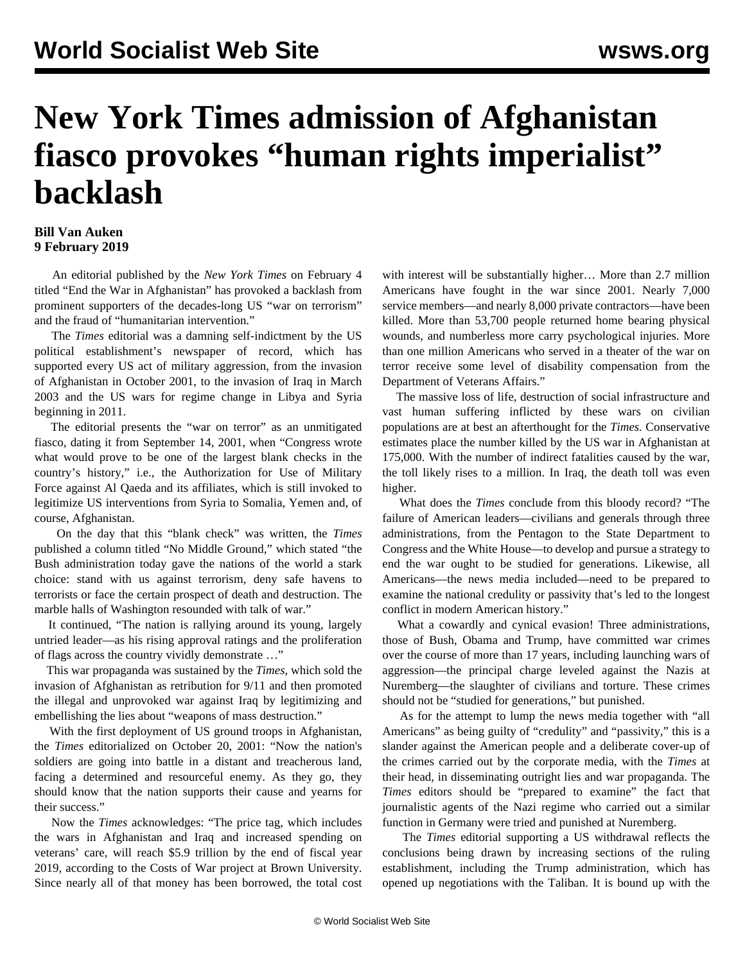## **New York Times admission of Afghanistan fiasco provokes "human rights imperialist" backlash**

## **Bill Van Auken 9 February 2019**

 An editorial published by the *New York Times* on February 4 titled "End the War in Afghanistan" has provoked a backlash from prominent supporters of the decades-long US "war on terrorism" and the fraud of "humanitarian intervention."

 The *Times* editorial was a damning self-indictment by the US political establishment's newspaper of record, which has supported every US act of military aggression, from the invasion of Afghanistan in October 2001, to the invasion of Iraq in March 2003 and the US wars for regime change in Libya and Syria beginning in 2011.

 The editorial presents the "war on terror" as an unmitigated fiasco, dating it from September 14, 2001, when "Congress wrote what would prove to be one of the largest blank checks in the country's history," i.e., the Authorization for Use of Military Force against Al Qaeda and its affiliates, which is still invoked to legitimize US interventions from Syria to Somalia, Yemen and, of course, Afghanistan.

 On the day that this "blank check" was written, the *Times* published a column titled "No Middle Ground," which stated "the Bush administration today gave the nations of the world a stark choice: stand with us against terrorism, deny safe havens to terrorists or face the certain prospect of death and destruction. The marble halls of Washington resounded with talk of war."

 It continued, "The nation is rallying around its young, largely untried leader—as his rising approval ratings and the proliferation of flags across the country vividly demonstrate …"

 This war propaganda was sustained by the *Times*, which sold the invasion of Afghanistan as retribution for 9/11 and then promoted the illegal and unprovoked war against Iraq by legitimizing and embellishing the lies about "weapons of mass destruction."

 With the first deployment of US ground troops in Afghanistan, the *Times* editorialized on October 20, 2001: "Now the nation's soldiers are going into battle in a distant and treacherous land, facing a determined and resourceful enemy. As they go, they should know that the nation supports their cause and yearns for their success."

 Now the *Times* acknowledges: "The price tag, which includes the wars in Afghanistan and Iraq and increased spending on veterans' care, will reach \$5.9 trillion by the end of fiscal year 2019, according to the Costs of War project at Brown University. Since nearly all of that money has been borrowed, the total cost with interest will be substantially higher… More than 2.7 million Americans have fought in the war since 2001. Nearly 7,000 service members—and nearly 8,000 private contractors—have been killed. More than 53,700 people returned home bearing physical wounds, and numberless more carry psychological injuries. More than one million Americans who served in a theater of the war on terror receive some level of disability compensation from the Department of Veterans Affairs."

 The massive loss of life, destruction of social infrastructure and vast human suffering inflicted by these wars on civilian populations are at best an afterthought for the *Times.* Conservative estimates place the number killed by the US war in Afghanistan at 175,000. With the number of indirect fatalities caused by the war, the toll likely rises to a million. In Iraq, the death toll was even higher.

 What does the *Times* conclude from this bloody record? "The failure of American leaders—civilians and generals through three administrations, from the Pentagon to the State Department to Congress and the White House—to develop and pursue a strategy to end the war ought to be studied for generations. Likewise, all Americans—the news media included—need to be prepared to examine the national credulity or passivity that's led to the longest conflict in modern American history."

 What a cowardly and cynical evasion! Three administrations, those of Bush, Obama and Trump, have committed war crimes over the course of more than 17 years, including launching wars of aggression—the principal charge leveled against the Nazis at Nuremberg—the slaughter of civilians and torture. These crimes should not be "studied for generations," but punished.

 As for the attempt to lump the news media together with "all Americans" as being guilty of "credulity" and "passivity," this is a slander against the American people and a deliberate cover-up of the crimes carried out by the corporate media, with the *Times* at their head, in disseminating outright lies and war propaganda. The *Times* editors should be "prepared to examine" the fact that journalistic agents of the Nazi regime who carried out a similar function in Germany were tried and punished at Nuremberg.

 The *Times* editorial supporting a US withdrawal reflects the conclusions being drawn by increasing sections of the ruling establishment, including the Trump administration, which has opened up negotiations with the Taliban. It is bound up with the